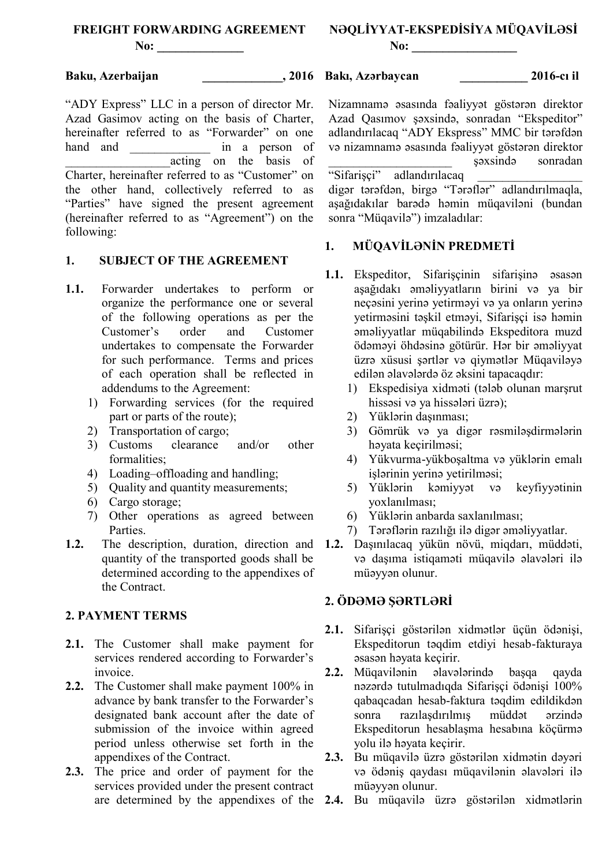**No: \_\_\_\_\_\_\_\_\_\_\_\_\_\_**

# **Baku, Azerbaijan \_\_\_\_\_\_\_\_\_\_\_\_\_, 2016**

"ADY Express" LLC in a person of director Mr. Azad Gasimov acting on the basis of Charter, hereinafter referred to as "Forwarder" on one hand and *in a person of* acting on the basis of Charter, hereinafter referred to as "Customer" on the other hand, collectively referred to as "Parties" have signed the present agreement (hereinafter referred to as "Agreement") on the following:

### **1. SUBJECT OF THE AGREEMENT**

- **1.1.** Forwarder undertakes to perform or organize the performance one or several of the following operations as per the Customer's order and Customer undertakes to compensate the Forwarder for such performance. Terms and prices of each operation shall be reflected in addendums to the Agreement:
	- 1) Forwarding services (for the required part or parts of the route);
	- 2) Transportation of cargo;<br>3) Customs clearance
	- 3) Customs clearance and/or other formalities;
	- 4) Loading–offloading and handling;
	- 5) Quality and quantity measurements;
	- 6) Cargo storage;
	- 7) Other operations as agreed between Parties.
- quantity of the transported goods shall be determined according to the appendixes of the Contract.

## **2. PAYMENT TERMS**

- **2.1.** The Customer shall make payment for services rendered according to Forwarder's invoice.
- **2.2.** The Customer shall make payment 100% in advance by bank transfer to the Forwarder's designated bank account after the date of submission of the invoice within agreed period unless otherwise set forth in the appendixes of the Contract.
- **2.3.** The price and order of payment for the services provided under the present contract

# **NƏQLİYYAT-EKSPEDİSİYA MÜQAVİLƏSİ No:**  $\blacksquare$

**Bakı, Azərbaycan \_\_\_\_\_\_\_\_\_\_\_ 2016-cı il**

Nizamnamə əsasında fəaliyyət göstərən direktor Azad Qasımov şəxsində, sonradan "Ekspeditor" adlandırılacaq "ADY Ekspress" MMC bir tərəfdən və nizamnamə əsasında fəaliyyət göstərən direktor \_\_\_\_\_\_\_\_\_\_\_\_\_\_\_\_\_\_\_\_ şəxsində sonradan "Sifarisci" adlandırılacaq

digər tərəfdən, birgə "Tərəflər" adlandırılmaqla, aşağıdakılar barədə həmin müqaviləni (bundan sonra "Müqavilə") imzaladılar:

## **1. MÜQAVİLƏNİN PREDMETİ**

- **1.1.** Ekspeditor, Sifarişçinin sifarişinə əsasən aşağıdakı əməliyyatların birini və ya bir neçəsini yerinə yetirməyi və ya onların yerinə yetirməsini təşkil etməyi, Sifarişçi isə həmin əməliyyatlar müqabilində Ekspeditora muzd ödəməyi öhdəsinə götürür. Hər bir əməliyyat üzrə xüsusi şərtlər və qiymətlər Müqaviləyə edilən əlavələrdə öz əksini tapacaqdır:
	- 1) Ekspedisiya xidməti (tələb olunan marşrut hissəsi və ya hissələri üzrə);
	- 2) Yüklərin daşınması;
	- 3) Gömrük və ya digər rəsmiləşdirmələrin həyata keçirilməsi;
	- 4) Yükvurma-yükboşaltma və yüklərin emalı işlərinin yerinə yetirilməsi;
	- 5) Yüklərin kəmiyyət və keyfiyyətinin yoxlanılması;
	- 6) Yüklərin anbarda saxlanılması;
	- 7) Tərəflərin razılığı ilə digər əməliyyatlar.
- **1.2.** The description, duration, direction and **1.2.** Daşınılacaq yükün növü, miqdarı, müddəti, və daşıma istiqaməti müqavilə əlavələri ilə müəyyən olunur.

## **2. ÖDƏMƏ ŞƏRTLƏRİ**

- **2.1.** Sifarişçi göstərilən xidmətlər üçün ödənişi, Ekspeditorun təqdim etdiyi hesab-fakturaya əsasən həyata keçirir.
- **2.2.** Müqavilənin əlavələrində başqa qayda nəzərdə tutulmadıqda Sifarişçi ödənişi 100% qabaqcadan hesab-faktura təqdim edildikdən sonra razılaşdırılmış müddət ərzində Ekspeditorun hesablaşma hesabına köçürmə yolu ilə həyata keçirir.
- **2.3.** Bu müqavilə üzrə göstərilən xidmətin dəyəri və ödəniş qaydası müqavilənin əlavələri ilə müəyyən olunur.
- are determined by the appendixes of the **2.4.** Bu müqavilə üzrə göstərilən xidmətlərin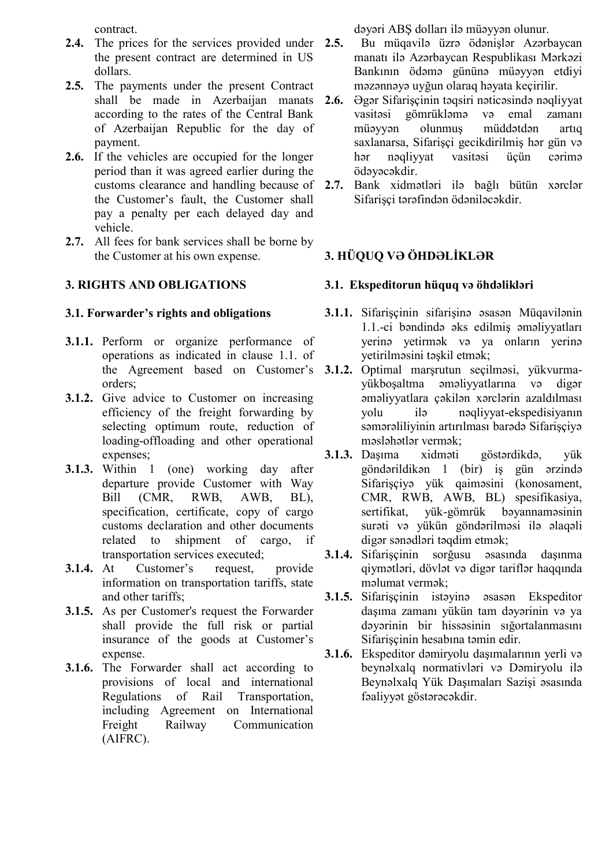contract.

- 2.4. The prices for the services provided under 2.5. the present contract are determined in US dollars.
- **2.5.** The payments under the present Contract shall be made in Azerbaijan manats 2.6. according to the rates of the Central Bank of Azerbaijan Republic for the day of payment.
- **2.6.** If the vehicles are occupied for the longer period than it was agreed earlier during the customs clearance and handling because of 2.7. the Customer's fault, the Customer shall pay a penalty per each delayed day and vehicle.
- 2.7. All fees for bank services shall be borne by the Customer at his own expense.

# **3. RIGHTS AND OBLIGATIONS**

## **3.1. Forwarder's rights and obligations**

- **3.1.1.** Perform or organize performance of operations as indicated in clause 1.1. of orders;
- **3.1.2.** Give advice to Customer on increasing efficiency of the freight forwarding by selecting optimum route, reduction of loading-offloading and other operational expenses;
- **3.1.3.** Within 1 (one) working day after departure provide Customer with Way Bill (CMR, RWB, AWB, BL), specification, certificate, copy of cargo customs declaration and other documents related to shipment of cargo, if transportation services executed;
- **3.1.4.** At Customer's request, provide information on transportation tariffs, state and other tariffs;
- **3.1.5.** As per Customer's request the Forwarder shall provide the full risk or partial insurance of the goods at Customer's expense.
- **3.1.6.** The Forwarder shall act according to provisions of local and international Regulations of Rail Transportation, including Agreement on International Freight Railway Communication (AIFRC).

dəyəri ABŞ dolları ilə müəyyən olunur.

- **2.5.** Bu müqavilə üzrə ödənişlər Azərbaycan manatı ilə Azərbaycan Respublikası Mərkəzi Bankının ödəmə gününə müəyyən etdiyi məzənnəyə uyğun olaraq həyata keçirilir.
- **2.6.** Əgər Sifarişçinin təqsiri nəticəsində nəqliyyat vasitəsi gömrükləmə və emal zamanı müəyyən olunmuş müddətdən artıq saxlanarsa, Sifarişçi gecikdirilmiş hər gün və hər nəqliyyat vasitəsi üçün cərimə ödəyəcəkdir.
- **2.7.** Bank xidmətləri ilə bağlı bütün xərclər Sifarişçi tərəfindən ödəniləcəkdir.

# **3. HÜQUQ VƏ ÖHDƏLİKLƏR**

# **3.1. Ekspeditorun hüquq və öhdəlikləri**

- **3.1.1.** Sifarişçinin sifarişinə əsasən Müqavilənin 1.1.-ci bəndində əks edilmiş əməliyyatları yerinə yetirmək və ya onların yerinə yetirilməsini təşkil etmək;
- the Agreement based on Customer's **3.1.2.** Optimal marşrutun seçilməsi, yükvurmayükboşaltma əməliyyatlarına və digər əməliyyatlara çəkilən xərclərin azaldılması yolu ilə nəqliyyat-ekspedisiyanın səmərəliliyinin artırılması barədə Sifarişçiyə məsləhətlər vermək;
	- **3.1.3.** Daşıma xidməti göstərdikdə, yük göndərildikən 1 (bir) iş gün ərzində Sifarişçiyə yük qaiməsini (konosament, CMR, RWB, AWB, BL) spesifikasiya, sertifikat, yük-gömrük bəyannaməsinin surəti və yükün göndərilməsi ilə əlaqəli digər sənədləri təqdim etmək;
	- **3.1.4.** Sifarişçinin sorğusu əsasında daşınma qiymətləri, dövlət və digər tariflər haqqında məlumat vermək;
	- **3.1.5.** Sifarişçinin istəyinə əsasən Ekspeditor daşıma zamanı yükün tam dəyərinin və ya dəyərinin bir hissəsinin sığortalanmasını Sifarişçinin hesabına təmin edir.
	- **3.1.6.** Ekspeditor dəmiryolu daşımalarının yerli və beynəlxalq normativləri və Dəmiryolu ilə Beynəlxalq Yük Daşımaları Sazişi əsasında fəaliyyət göstərəcəkdir.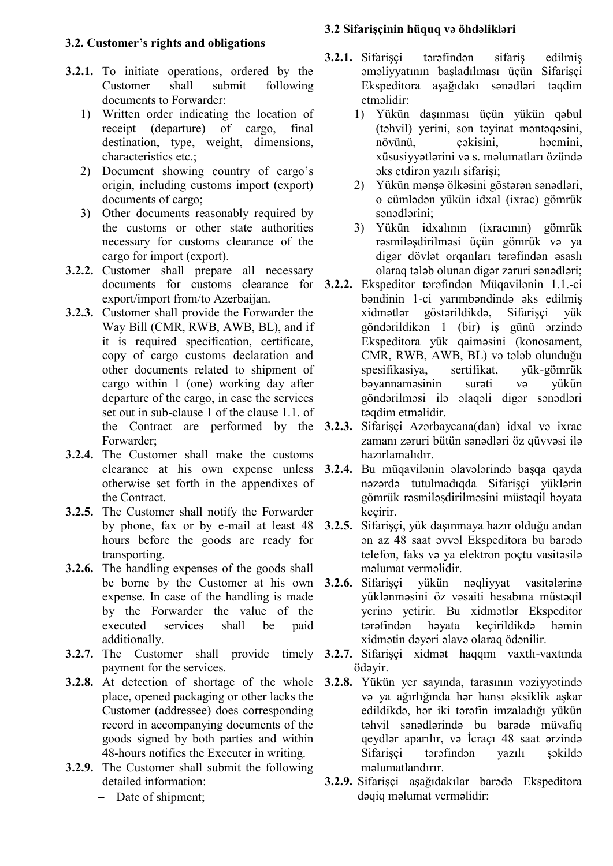# **3.2. Customer's rights and obligations**

- **3.2.1.** To initiate operations, ordered by the Customer shall submit following documents to Forwarder:
	- 1) Written order indicating the location of receipt (departure) of cargo, final destination, type, weight, dimensions, characteristics etc.;
	- 2) Document showing country of cargo's origin, including customs import (export) documents of cargo;
	- 3) Other documents reasonably required by the customs or other state authorities necessary for customs clearance of the cargo for import (export).
- **3.2.2.** Customer shall prepare all necessary export/import from/to Azerbaijan.
- **3.2.3.** Customer shall provide the Forwarder the Way Bill (CMR, RWB, AWB, BL), and if it is required specification, certificate, copy of cargo customs declaration and other documents related to shipment of cargo within 1 (one) working day after departure of the cargo, in case the services set out in sub-clause 1 of the clause 1.1. of the Contract are performed by the 3.2.3. Forwarder;
- **3.2.4.** The Customer shall make the customs clearance at his own expense unless otherwise set forth in the appendixes of the Contract.
- **3.2.5.** The Customer shall notify the Forwarder by phone, fax or by e-mail at least 48 hours before the goods are ready for transporting.
- **3.2.6.** The handling expenses of the goods shall be borne by the Customer at his own 3.2.6. Sifarisci expense. In case of the handling is made by the Forwarder the value of the executed services shall be paid additionally.
- **3.2.7.** The Customer shall provide timely payment for the services.
- place, opened packaging or other lacks the Customer (addressee) does corresponding record in accompanying documents of the goods signed by both parties and within 48-hours notifies the Executer in writing.
- **3.2.9.** The Customer shall submit the following detailed information:
	- Date of shipment;

# **3.2 Sifarişçinin hüquq və öhdəlikləri**

- **3.2.1.** Sifarişçi tərəfindən sifariş edilmiş əməliyyatının başladılması üçün Sifarişçi Ekspeditora aşağıdakı sənədləri təqdim etməlidir:
	- 1) Yükün daşınması üçün yükün qəbul (təhvil) yerini, son təyinat məntəqəsini, növünü, çəkisini, həcmini, xüsusiyyətlərini və s. məlumatları özündə əks etdirən yazılı sifarişi;
	- 2) Yükün mənşə ölkəsini göstərən sənədləri, o cümlədən yükün idxal (ixrac) gömrük sənədlərini;
	- 3) Yükün idxalının (ixracının) gömrük rəsmiləşdirilməsi üçün gömrük və ya digər dövlət orqanları tərəfindən əsaslı olaraq tələb olunan digər zəruri sənədləri;
- documents for customs clearance for **3.2.2.** Ekspeditor tərəfindən Müqavilənin 1.1.-ci bəndinin 1-ci yarımbəndində əks edilmiş xidmətlər göstərildikdə, Sifarişçi yük göndərildikən 1 (bir) iş günü ərzində Ekspeditora yük qaiməsini (konosament, CMR, RWB, AWB, BL) və tələb olunduğu spesifikasiya, sertifikat, yük-gömrük bəyannaməsinin surəti və yükün göndərilməsi ilə əlaqəli digər sənədləri təqdim etməlidir.
	- **3.2.3.** Sifarişçi Azərbaycana(dan) idxal və ixrac zamanı zəruri bütün sənədləri öz qüvvəsi ilə hazırlamalıdır.
	- **3.2.4.** Bu müqavilənin əlavələrində başqa qayda nəzərdə tutulmadıqda Sifarişçi yüklərin gömrük rəsmiləşdirilməsini müstəqil həyata keçirir.
	- **3.2.5.** Sifarişçi, yük daşınmaya hazır olduğu andan ən az 48 saat əvvəl Ekspeditora bu barədə telefon, faks və ya elektron poçtu vasitəsilə məlumat verməlidir.
		- **3.2.6.** Sifarişçi yükün nəqliyyat vasitələrinə yüklənməsini öz vəsaiti hesabına müstəqil yerinə yetirir. Bu xidmətlər Ekspeditor tərəfindən həyata keçirildikdə həmin xidmətin dəyəri əlavə olaraq ödənilir.
	- **3.2.7.** Sifarişçi xidmət haqqını vaxtlı-vaxtında ödəyir.
- **3.2.8.** At detection of shortage of the whole **3.2.8.** Yükün yer sayında, tarasının vəziyyətində və ya ağırlığında hər hansı əksiklik aşkar edildikdə, hər iki tərəfin imzaladığı yükün təhvil sənədlərində bu barədə müvafiq qeydlər aparılır, və İcraçı 48 saat ərzində Sifarişçi tərəfindən yazılı şəkildə məlumatlandırır.
	- **3.2.9.** Sifarişçi aşağıdakılar barədə Ekspeditora dəqiq məlumat verməlidir: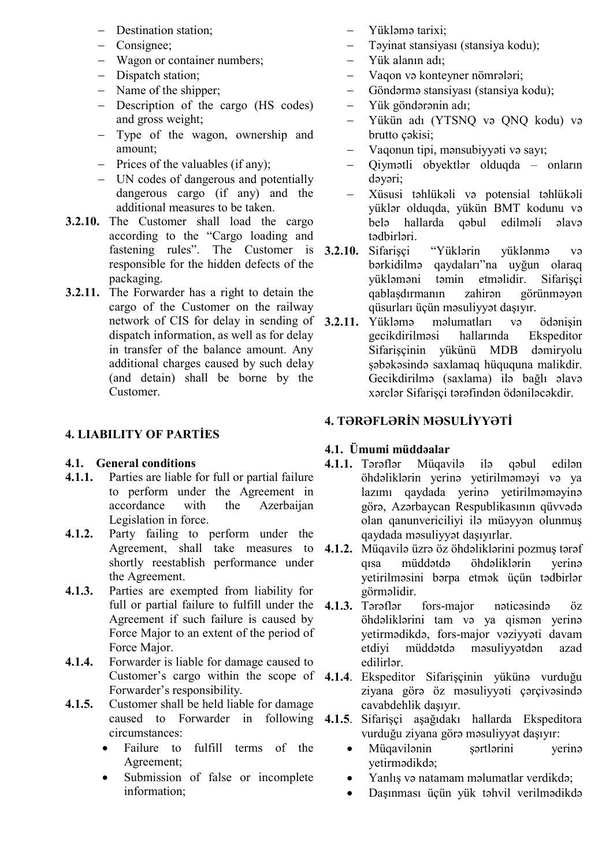- Destination station:
- Consignee;
- Wagon or container numbers;
- Dispatch station;
- Name of the shipper;
- Description of the cargo (HS codes) and gross weight;
- Type of the wagon, ownership and amount;
- $\overline{P}$  Prices of the valuables (if any);
- UN codes of dangerous and potentially dangerous cargo (if any) and the additional measures to be taken.
- **3.2.10.** The Customer shall load the cargo according to the "Cargo loading and fastening rules". The Customer is **3.2.10.** responsible for the hidden defects of the packaging.
- **3.2.11.** The Forwarder has a right to detain the cargo of the Customer on the railway network of CIS for delay in sending of 3.2.11. dispatch information, as well as for delay in transfer of the balance amount. Any additional charges caused by such delay (and detain) shall be borne by the Customer.

## **4. LIABILITY OF PARTİES**

#### **4.1. General conditions**

- **4.1.1.** Parties are liable for full or partial failure to perform under the Agreement in accordance with the Azerbaijan Legislation in force.
- **4.1.2.** Party failing to perform under the shortly reestablish performance under the Agreement.
- **4.1.3.** Parties are exempted from liability for Agreement if such failure is caused by Force Major to an extent of the period of Force Major.
- **4.1.4.** Forwarder is liable for damage caused to Forwarder's responsibility.
- **4.1.5.** Customer shall be held liable for damage caused to Forwarder in following circumstances:
	- Failure to fulfill terms of the Agreement;
	- Submission of false or incomplete information;
- Yükləmə tarixi;
- Təyinat stansiyası (stansiya kodu);
- Yük alanın adı;
- Vaqon və konteyner nömrələri;
- Göndərmə stansiyası (stansiya kodu);
- Yük göndərənin adı;
- Yükün adı (YTSNQ və QNQ kodu) və brutto çəkisi;
- Vaqonun tipi, mənsubiyyəti və sayı;
- Qiymətli obyektlər olduqda onların dəyəri;
- Xüsusi təhlükəli və potensial təhlükəli yüklər olduqda, yükün BMT kodunu və belə hallarda qəbul edilməli əlavə tədbirləri.

**3.2.10.** Sifarişçi "Yüklərin yüklənmə və bərkidilmə qaydaları"na uyğun olaraq yükləməni təmin etməlidir. Sifarişçi qablaşdırmanın zahirən görünməyən qüsurları üçün məsuliyyət daşıyır.

**3.2.11.** Yükləmə məlumatları və ödənişin gecikdirilməsi hallarında Ekspeditor Sifarişçinin yükünü MDB dəmiryolu şəbəkəsində saxlamaq hüququna malikdir. Gecikdirilmə (saxlama) ilə bağlı əlavə xərclər Sifarişçi tərəfindən ödəniləcəkdir.

# **4. TƏRƏFLƏRİN MƏSULİYYƏTİ**

#### **4.1. Ümumi müddəalar**

- **4.1.1.** Tərəflər Müqavilə ilə qəbul edilən öhdəliklərin yerinə yetirilməməyi və ya lazımı qaydada yerinə yetirilməməyinə görə, Azərbaycan Respublikasının qüvvədə olan qanunvericiliyi ilə müəyyən olunmuş qaydada məsuliyyət daşıyırlar.
- Agreement, shall take measures to **4.1.2.** Müqavilə üzrə öz öhdəliklərini pozmuş tərəf qısa müddətdə öhdəliklərin yerinə yetirilməsini bərpa etmək üçün tədbirlər görməlidir.
- full or partial failure to fulfill under the 4.1.3. Tərəflər fors-major nəticəsində öz öhdəliklərini tam və ya qismən yerinə yetirmədikdə, fors-major vəziyyəti davam etdiyi müddətdə məsuliyyətdən azad edilirlər.
- Customer's cargo within the scope of **4.1.4**. Ekspeditor Sifarişçinin yükünə vurduğu ziyana görə öz məsuliyyəti çərçivəsində cavabdehlik daşıyır.
	- **4.1.5**. Sifarişçi aşağıdakı hallarda Ekspeditora vurduğu ziyana görə məsuliyyət daşıyır:
		- Müqavilənin şərtlərini yerinə yetirmədikdə;
		- Yanlış və natamam məlumatlar verdikdə;
		- Daşınması üçün yük təhvil verilmədikdə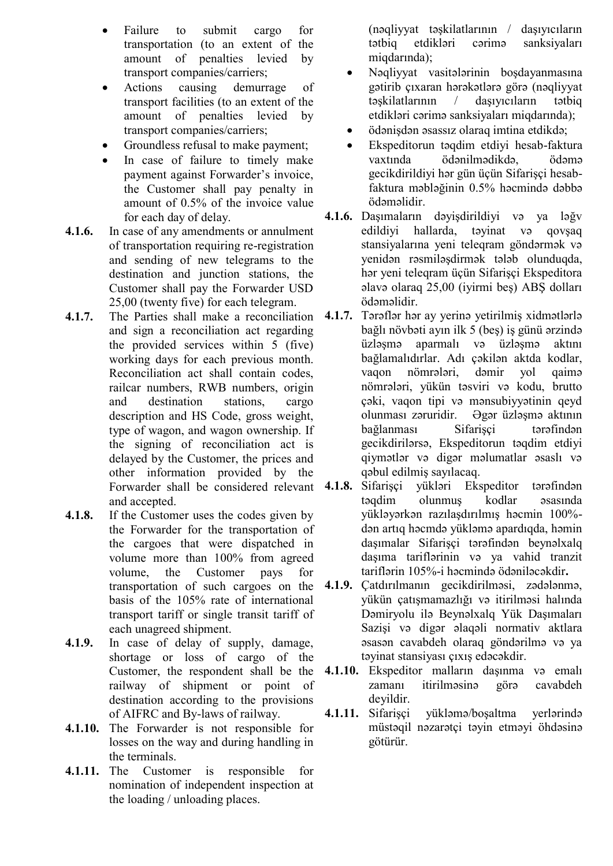- Failure to submit cargo for transportation (to an extent of the amount of penalties levied by transport companies/carriers;
- Actions causing demurrage of transport facilities (to an extent of the amount of penalties levied by transport companies/carriers;
- Groundless refusal to make payment;
- In case of failure to timely make payment against Forwarder's invoice, the Customer shall pay penalty in amount of 0.5% of the invoice value for each day of delay.
- **4.1.6.** In case of any amendments or annulment of transportation requiring re-registration and sending of new telegrams to the destination and junction stations, the Customer shall pay the Forwarder USD 25,00 (twenty five) for each telegram.
- **4.1.7.** The Parties shall make a reconciliation **4.1.7.** Tərəflər hər ay yerinə yetirilmiş xidmətlərlə and sign a reconciliation act regarding the provided services within 5 (five) working days for each previous month. Reconciliation act shall contain codes, railcar numbers, RWB numbers, origin and destination stations, cargo description and HS Code, gross weight, type of wagon, and wagon ownership. If the signing of reconciliation act is delayed by the Customer, the prices and other information provided by the Forwarder shall be considered relevant and accepted.
- **4.1.8.** If the Customer uses the codes given by the Forwarder for the transportation of the cargoes that were dispatched in volume more than 100% from agreed volume, the Customer pays for transportation of such cargoes on the basis of the 105% rate of international transport tariff or single transit tariff of each unagreed shipment.
- **4.1.9.** In case of delay of supply, damage, shortage or loss of cargo of the Customer, the respondent shall be the railway of shipment or point of destination according to the provisions of AIFRC and By-laws of railway.
- **4.1.10.** The Forwarder is not responsible for losses on the way and during handling in the terminals.
- **4.1.11.** The Customer is responsible for nomination of independent inspection at the loading / unloading places.

(nəqliyyat təşkilatlarının / daşıyıcıların tətbiq etdikləri cərimə sanksiyaları miqdarında);

- Nəqliyyat vasitələrinin boşdayanmasına gətirib çıxaran hərəkətlərə görə (nəqliyyat təşkilatlarının / daşıyıcıların tətbiq etdikləri cərimə sanksiyaları miqdarında);
- ödənişdən əsassız olaraq imtina etdikdə;
- Ekspeditorun təqdim etdiyi hesab-faktura vaxtında ödənilmədikdə, ödəmə gecikdirildiyi hər gün üçün Sifarişçi hesabfaktura məbləğinin 0.5% həcmində dəbbə ödəməlidir.
- **4.1.6.** Daşımaların dəyişdirildiyi və ya ləğv edildiyi hallarda, təyinat və qovşaq stansiyalarına yeni teleqram göndərmək və yenidən rəsmiləşdirmək tələb olunduqda, hər yeni teleqram üçün Sifarişçi Ekspeditora əlavə olaraq 25,00 (iyirmi beş) ABŞ dolları ödəməlidir.
- bağlı növbəti ayın ilk 5 (beş) iş günü ərzində üzləşmə aparmalı və üzləşmə aktını bağlamalıdırlar. Adı çəkilən aktda kodlar, vaqon nömrələri, dəmir yol qaimə nömrələri, yükün təsviri və kodu, brutto çəki, vaqon tipi və mənsubiyyətinin qeyd olunması zəruridir. Əgər üzləşmə aktının bağlanması Sifarişçi tərəfindən gecikdirilərsə, Ekspeditorun təqdim etdiyi qiymətlər və digər məlumatlar əsaslı və qəbul edilmiş sayılacaq.
- **4.1.8.** Sifarişçi yükləri Ekspeditor tərəfindən təqdim olunmuş kodlar əsasında yükləyərkən razılaşdırılmış həcmin 100% dən artıq həcmdə yükləmə apardıqda, həmin daşımalar Sifarişçi tərəfindən beynəlxalq daşıma tariflərinin və ya vahid tranzit tariflərin 105%-i həcmində ödəniləcəkdir**.**
- **4.1.9.** Çatdırılmanın gecikdirilməsi, zədələnmə, yükün çatışmamazlığı və itirilməsi halında Dəmiryolu ilə Beynəlxalq Yük Daşımaları Sazişi və digər əlaqəli normativ aktlara əsasən cavabdeh olaraq göndərilmə və ya təyinat stansiyası çıxış edəcəkdir.
- **4.1.10.** Ekspeditor malların daşınma və emalı zamanı itirilməsinə görə cavabdeh deyildir.
- **4.1.11.** Sifarişçi yükləmə/boşaltma yerlərində müstəqil nəzarətçi təyin etməyi öhdəsinə götürür.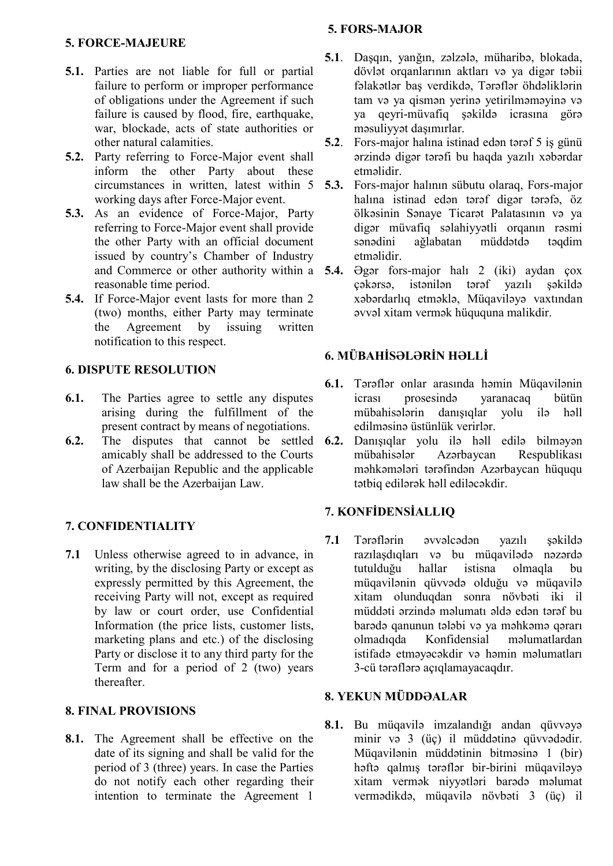#### **5. FORS-MAJOR**

# **5. FORCE-MAJEURE**

- **5.1.** Parties are not liable for full or partial failure to perform or improper performance of obligations under the Agreement if such failure is caused by flood, fire, earthquake, war, blockade, acts of state authorities or other natural calamities.
- **5.2.** Party referring to Force-Major event shall inform the other Party about these circumstances in written, latest within 5 working days after Force-Major event.
- **5.3.** As an evidence of Force-Major, Party referring to Force-Major event shall provide the other Party with an official document issued by country's Chamber of Industry reasonable time period.
- **5.4.** If Force-Major event lasts for more than 2 (two) months, either Party may terminate the Agreement by issuing written notification to this respect.

## **6. DISPUTE RESOLUTION**

- **6.1.** The Parties agree to settle any disputes arising during the fulfillment of the present contract by means of negotiations.
- **6.2.** The disputes that cannot be settled amicably shall be addressed to the Courts of Azerbaijan Republic and the applicable law shall be the Azerbaijan Law.

# **7. CONFIDENTIALITY**

**7.1** Unless otherwise agreed to in advance, in writing, by the disclosing Party or except as expressly permitted by this Agreement, the receiving Party will not, except as required by law or court order, use Confidential Information (the price lists, customer lists, marketing plans and etc.) of the disclosing Party or disclose it to any third party for the Term and for a period of 2 (two) years thereafter.

## **8. FINAL PROVISIONS**

**8.1.** The Agreement shall be effective on the date of its signing and shall be valid for the period of 3 (three) years. In case the Parties do not notify each other regarding their intention to terminate the Agreement 1

- **5.1**. Daşqın, yanğın, zəlzələ, müharibə, blokada, dövlət orqanlarının aktları və ya digər təbii fəlakətlər baş verdikdə, Tərəflər öhdəliklərin tam və ya qismən yerinə yetirilməməyinə və ya qeyri-müvafiq şəkildə icrasına görə məsuliyyət daşımırlar.
- **5.2**. Fors-major halına istinad edən tərəf 5 iş günü ərzində digər tərəfi bu haqda yazılı xəbərdar etməlidir.
- **5.3.** Fors-major halının sübutu olaraq, Fors-major halına istinad edən tərəf digər tərəfə, öz ölkəsinin Sənaye Ticarət Palatasının və ya digər müvafiq səlahiyyətli orqanın rəsmi sənədini ağlabatan müddətdə təqdim etməlidir.
- and Commerce or other authority within a **5.4.** Əgər fors-major halı 2 (iki) aydan çox çəkərsə, istənilən tərəf yazılı şəkildə xəbərdarlıq etməklə, Müqaviləyə vaxtından əvvəl xitam vermək hüququna malikdir.

# **6. MÜBAHİSƏLƏRİN HƏLLİ**

- **6.1.** Tərəflər onlar arasında həmin Müqavilənin icrası prosesində yaranacaq bütün mübahisələrin danışıqlar yolu ilə həll edilməsinə üstünlük verirlər.
- **6.2.** Danışıqlar yolu ilə həll edilə bilməyən mübahisələr Azərbaycan Respublikası məhkəmələri tərəfindən Azərbaycan hüququ tətbiq edilərək həll ediləcəkdir.

## **7. KONFİDENSİALLIQ**

**7.1** Tərəflərin əvvəlcədən yazılı şəkildə razılaşdıqları və bu müqavilədə nəzərdə tutulduğu hallar istisna olmaqla bu müqavilənin qüvvədə olduğu və müqavilə xitam olunduqdan sonra növbəti iki il müddəti ərzində məlumatı əldə edən tərəf bu barədə qanunun tələbi və ya məhkəmə qərarı olmadıqda Konfidensial məlumatlardan istifadə etməyəcəkdir və həmin məlumatları 3-cü tərəflərə açıqlamayacaqdır.

# **8. YEKUN MÜDDƏALAR**

**8.1.** Bu müqavilə imzalandığı andan qüvvəyə minir və 3 (üç) il müddətinə qüvvədədir. Müqavilənin müddətinin bitməsinə 1 (bir) həftə qalmış tərəflər bir-birini müqaviləyə xitam vermək niyyətləri barədə məlumat vermədikdə, müqavilə növbəti 3 (üç) il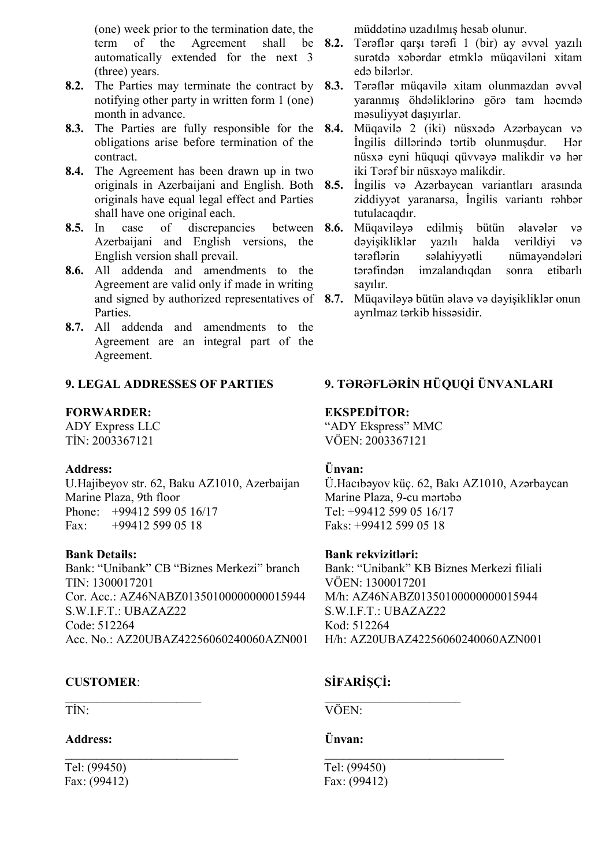(one) week prior to the termination date, the term of the Agreement shall automatically extended for the next 3 (three) years.

- notifying other party in written form 1 (one) month in advance.
- **8.3.** The Parties are fully responsible for the obligations arise before termination of the contract.
- **8.4.** The Agreement has been drawn up in two originals in Azerbaijani and English. Both originals have equal legal effect and Parties shall have one original each.
- 8.5. In case of discrepancies between 8.6. Azerbaijani and English versions, the English version shall prevail.
- **8.6.** All addenda and amendments to the Agreement are valid only if made in writing and signed by authorized representatives of 8.7. **Parties**
- **8.7.** All addenda and amendments to the Agreement are an integral part of the Agreement.

### **9. LEGAL ADDRESSES OF PARTIES**

#### **FORWARDER:**

ADY Express LLC TİN: 2003367121

#### **Address:**

U.Hajibeyov str. 62, Baku AZ1010, Azerbaijan Marine Plaza, 9th floor Phone: +99412 599 05 16/17 Fax: +99412 599 05 18

#### **Bank Details:**

Bank: "Unibank" CB "Biznes Merkezi" branch TIN: 1300017201 Cor. Acc.: AZ46NABZ01350100000000015944 S.W.I.F.T.: UBAZAZ22 Code: 512264 Acc. No.: AZ20UBAZ42256060240060AZN001

# **CUSTOMER**:

 $\mathcal{L}_\text{max}$ 

\_\_\_\_\_\_\_\_\_\_\_\_\_\_\_\_\_\_\_\_\_\_\_\_\_\_\_\_

TİN:

#### **Address:**

Tel: (99450) Fax: (99412) müddətinə uzadılmış hesab olunur.

- **8.2.** Tərəflər qarşı tərəfi 1 (bir) ay əvvəl yazılı surətdə xəbərdar etmklə müqaviləni xitam edə bilərlər.
- **8.2.** The Parties may terminate the contract by **8.3.** Tərəflər müqavilə xitam olunmazdan əvvəl yaranmış öhdəliklərinə görə tam həcmdə məsuliyyət daşıyırlar.
	- **8.4.** Müqavilə 2 (iki) nüsxədə Azərbaycan və İngilis dillərində tərtib olunmuşdur. Hər nüsxə eyni hüquqi qüvvəyə malikdir və hər iki Tərəf bir nüsxəyə malikdir.
	- **8.5.** İngilis və Azərbaycan variantları arasında ziddiyyət yaranarsa, İngilis variantı rəhbər tutulacaqdır.
		- **8.6.** Müqaviləyə edilmiş bütün əlavələr və dəyişikliklər yazılı halda verildiyi və tərəflərin səlahiyyətli nümayəndələri tərəfindən imzalandıqdan sonra etibarlı sayılır.
	- **8.7.** Müqaviləyə bütün əlavə və dəyişikliklər onun ayrılmaz tərkib hissəsidir.

# **9. TƏRƏFLƏRİN HÜQUQİ ÜNVANLARI**

# **EKSPEDİTOR:**

"ADY Ekspress" MMC VÖEN: 2003367121

## **Ünvan:**

Ü.Hacıbəyov küç. 62, Bakı AZ1010, Azərbaycan Marine Plaza, 9-cu mərtəbə Tel: +99412 599 05 16/17 Faks: +99412 599 05 18

#### **Bank rekvizitləri:**

Bank: "Unibank" KB Biznes Merkezi filiali VÖEN: 1300017201 M/h: AZ46NABZ01350100000000015944 S.W.I.F.T.: UBAZAZ22 Kod: 512264 H/h: AZ20UBAZ42256060240060AZN001

# **SİFARİŞÇİ:**

 $\mathcal{L}_\text{max}$ 

 $\overline{\phantom{a}}$  , where  $\overline{\phantom{a}}$  , where  $\overline{\phantom{a}}$  , where  $\overline{\phantom{a}}$ 

VÖEN:

#### **Ünvan:**

Tel: (99450) Fax: (99412)